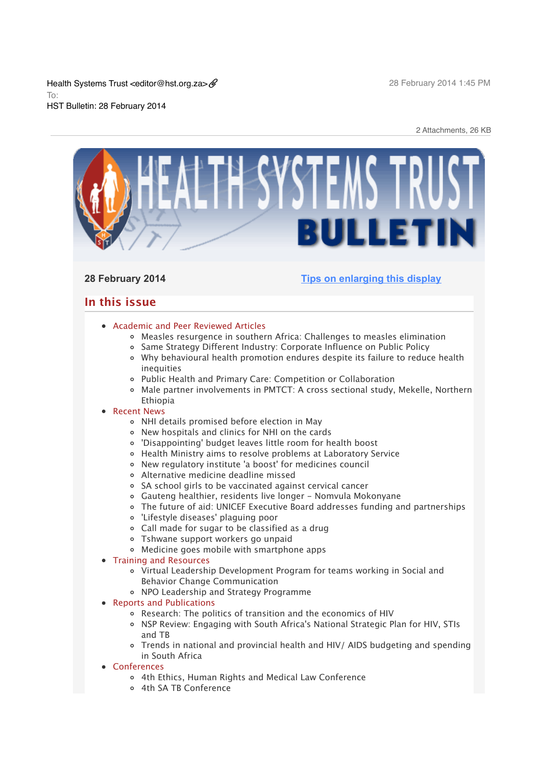Health Systems Trust <editor@hst.org.za> To: HST Bulletin: 28 February 2014

2 Attachments, 26 KB



# **28 February 2014 [Tips on enlarging this display](http://bulletin.hst.org.za//lt.php?id=K09QAFxdUAQFSlNTB0UEAFdT)**

# **In this issue**

# [Academic and Peer Reviewed Articles](x-msg://100/#Academic)

- [Measles resurgence in southern Africa: Challenges to measles elimination](x-msg://100/#A_2)
- [Same Strategy Different Industry: Corporate Influence on Public Policy](x-msg://100/#A_3)  $\circ$
- [Why behavioural health promotion endures despite its failure to reduce health](x-msg://100/#A_4) inequities
- [Public Health and Primary Care: Competition or Collaboration](x-msg://100/#A_5)
- [Male partner involvements in PMTCT: A cross sectional study, Mekelle, Northern](x-msg://100/#A_1) Ethiopia
- [Recent News](x-msg://100/#recent)
	- [NHI details promised before election in May](x-msg://100/#N_1)
	- [New hospitals and clinics for NHI on the cards](x-msg://100/#N_2)
	- ['Disappointing' budget leaves little room for health boost](x-msg://100/#N_8)
	- [Health Ministry aims to resolve problems at Laboratory Service](x-msg://100/#N_3)
	- [New regulatory institute 'a boost' for medicines council](x-msg://100/#N_4)
	- [Alternative medicine deadline missed](x-msg://100/#N_5)
	- [SA school girls to be vaccinated against cervical cancer](x-msg://100/#N_6)
	- [Gauteng healthier, residents live longer Nomvula Mokonyane](x-msg://100/#N_7)
	- [The future of aid: UNICEF Executive Board addresses funding and partnerships](x-msg://100/#N_9)
	- ['Lifestyle diseases' plaguing poor](x-msg://100/#N_10)
	- [Call made for sugar to be classified as a drug](x-msg://100/#N_11)
	- [Tshwane support workers go unpaid](x-msg://100/#N_12)
	- [Medicine goes mobile with smartphone apps](x-msg://100/#N_13)

• [Training and Resources](x-msg://100/#train)

- [Virtual Leadership Development Program for teams working in Social and](x-msg://100/#T_1) Behavior Change Communication
- [NPO Leadership and Strategy Programme](x-msg://100/#T_2)
- [Reports and Publications](x-msg://100/#publications)
	- [Research: The politics of transition and the economics of HIV](x-msg://100/#P_1)
	- o [NSP Review: Engaging with South Africa's National Strategic Plan for HIV, STIs](x-msg://100/#P_2) and TB
	- [Trends in national and provincial health and HIV/ AIDS budgeting and spending](x-msg://100/#P_3) in South Africa
- [Conferences](x-msg://100/#conferences)
	- [4th Ethics, Human Rights and Medical Law Conference](x-msg://100/#C_1)
	- [4th SA TB Conference](x-msg://100/#C_2)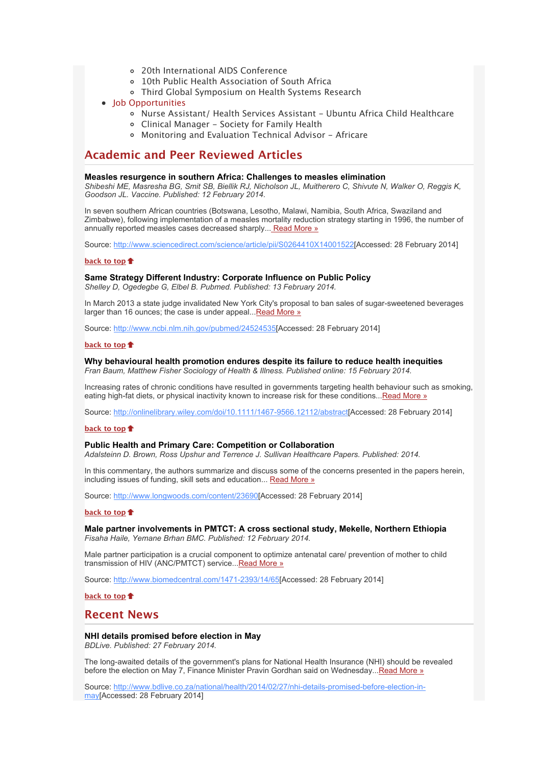- [20th International AIDS Conference](x-msg://100/#C_3)
- [10th Public Health Association of South Africa](x-msg://100/#C_3)
- [Third Global Symposium on Health Systems Research](x-msg://100/#C_4)

# [Job Opportunities](x-msg://100/#jobs)

- o [Nurse Assistant/ Health Services Assistant Ubuntu Africa Child Healthcare](x-msg://100/#J_1)
- [Clinical Manager Society for Family Health](x-msg://100/#J_2)
- [Monitoring and Evaluation Technical Advisor Africare](x-msg://100/#J_3)

# **Academic and Peer Reviewed Articles**

# **Measles resurgence in southern Africa: Challenges to measles elimination**

*Shibeshi ME, Masresha BG, Smit SB, Biellik RJ, Nicholson JL, Muitherero C, Shivute N, Walker O, Reggis K, Goodson JL. Vaccine. Published: 12 February 2014.*

In seven southern African countries (Botswana, Lesotho, Malawi, Namibia, South Africa, Swaziland and Zimbabwe), following implementation of a measles mortality reduction strategy starting in 1996, the number of annually reported measles cases decreased sharply..[. Read More »](http://bulletin.hst.org.za//lt.php?id=K09QAFxdUAQESlNTB0UEAFdT)

Source: [http://www.sciencedirect.com/science/article/pii/S0264410X14001522\[](http://bulletin.hst.org.za//lt.php?id=K09QAFxdUAQESlNTB0UEAFdT)Accessed: 28 February 2014]

# **[back to top](x-msg://100/#top)**

# **Same Strategy Different Industry: Corporate Influence on Public Policy**

*Shelley D, Ogedegbe G, Elbel B. Pubmed. Published: 13 February 2014.*

In March 2013 a state judge invalidated New York City's proposal to ban sales of sugar-sweetened beverages larger than 16 ounces; the case is under appeal... Read More »

Source: [http://www.ncbi.nlm.nih.gov/pubmed/24524535\[](http://bulletin.hst.org.za//lt.php?id=K09QAFxdUAQDSlNTB0UEAFdT)Accessed: 28 February 2014]

# **[back to top](x-msg://100/#top)**

# **Why behavioural health promotion endures despite its failure to reduce health inequities**

*Fran Baum, Matthew Fisher Sociology of Health & Illness. Published online: 15 February 2014.*

Increasing rates of chronic conditions have resulted in governments targeting health behaviour such as smoking, eating high-fat diets, or physical inactivity known to increase risk for these conditions..[.Read More »](http://bulletin.hst.org.za//lt.php?id=K09QAFxdUAQCSlNTB0UEAFdT)

Source: [http://onlinelibrary.wiley.com/doi/10.1111/1467-9566.12112/abstract\[](http://bulletin.hst.org.za//lt.php?id=K09QAFxdUAQCSlNTB0UEAFdT)Accessed: 28 February 2014]

# **[back to top](x-msg://100/#top)**

# **Public Health and Primary Care: Competition or Collaboration**

*Adalsteinn D. Brown, Ross Upshur and Terrence J. Sullivan Healthcare Papers. Published: 2014.*

In this commentary, the authors summarize and discuss some of the concerns presented in the papers herein, including issues of funding, skill sets and education... [Read More »](http://bulletin.hst.org.za//lt.php?id=K09QAFxdUAQBSlNTB0UEAFdT)

Source: [http://www.longwoods.com/content/23690\[](http://bulletin.hst.org.za//lt.php?id=K09QAFxdUAQBSlNTB0UEAFdT)Accessed: 28 February 2014]

#### **[back to top](x-msg://100/#top)**

**Male partner involvements in PMTCT: A cross sectional study, Mekelle, Northern Ethiopia** *Fisaha Haile, Yemane Brhan BMC. Published: 12 February 2014.*

Male partner participation is a crucial component to optimize antenatal care/ prevention of mother to child transmission of HIV (ANC/PMTCT) service..[.Read More »](http://bulletin.hst.org.za//lt.php?id=K09QAFxdUAQASlNTB0UEAFdT)

Source: [http://www.biomedcentral.com/1471-2393/14/65\[](http://bulletin.hst.org.za//lt.php?id=K09QAFxdUAQASlNTB0UEAFdT)Accessed: 28 February 2014]

**[back to top](x-msg://100/#top)**

# **Recent News**

# **NHI details promised before election in May**

*BDLive. Published: 27 February 2014.*

The long-awaited details of the government's plans for National Health Insurance (NHI) should be revealed before the election on May 7, Finance Minister Pravin Gordhan said on Wednesday..[.Read More »](http://bulletin.hst.org.za//lt.php?id=K09QAFxdUAQPSlNTB0UEAFdT)

[Source: http://www.bdlive.co.za/national/health/2014/02/27/nhi-details-promised-before-election-in](http://bulletin.hst.org.za//lt.php?id=K09QAFxdUAQOSlNTB0UEAFdT)may[Accessed: 28 February 2014]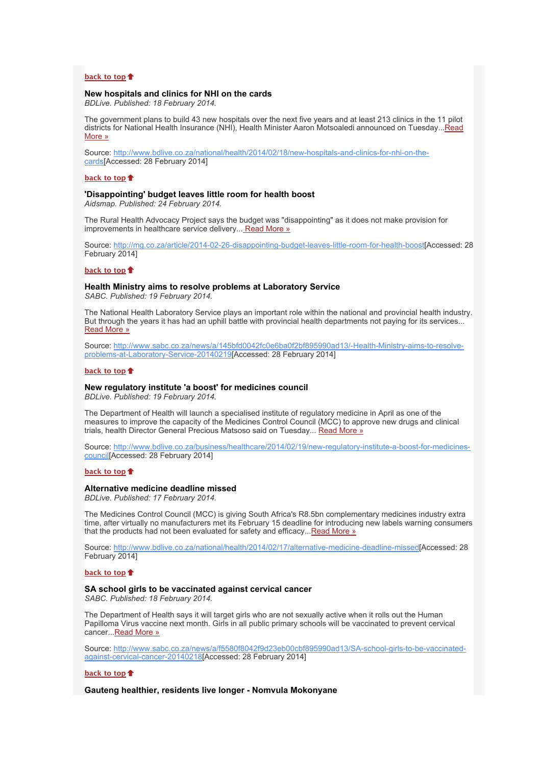# **[back to top](x-msg://100/#top)**

# **New hospitals and clinics for NHI on the cards**

*BDLive. Published: 18 February 2014.*

The government plans to build 43 new hospitals over the next five years and at least 213 clinics in the 11 pilot [districts for National Health Insurance \(NHI\), Health Minister Aaron Motsoaledi announced on Tuesday...Read](http://bulletin.hst.org.za//lt.php?id=K09QAFxdUAUHSlNTB0UEAFdT) More »

[Source: http://www.bdlive.co.za/national/health/2014/02/18/new-hospitals-and-clinics-for-nhi-on-the](http://bulletin.hst.org.za//lt.php?id=K09QAFxdUAUGSlNTB0UEAFdT)cards[Accessed: 28 February 2014]

#### **[back to top](x-msg://100/#top)**

# **'Disappointing' budget leaves little room for health boost**

*Aidsmap. Published: 24 February 2014.*

The Rural Health Advocacy Project says the budget was "disappointing" as it does not make provision for improvements in healthcare service delivery..[. Read More »](http://bulletin.hst.org.za//lt.php?id=K09QAFxdUAUFSlNTB0UEAFdT)

Source: [http://mg.co.za/article/2014-02-26-disappointing-budget-leaves-little-room-for-health-boost\[](http://bulletin.hst.org.za//lt.php?id=K09QAFxdUAUESlNTB0UEAFdT)Accessed: 28 February 2014]

# **[back to top](x-msg://100/#top)**

**Health Ministry aims to resolve problems at Laboratory Service** *SABC. Published: 19 February 2014.*

The National Health Laboratory Service plays an important role within the national and provincial health industry. But through the years it has had an uphill battle with provincial health departments not paying for its services... [Read More »](http://bulletin.hst.org.za//lt.php?id=K09QAFxdUAUDSlNTB0UEAFdT)

[Source: http://www.sabc.co.za/news/a/145bfd0042fc0e6ba0f2bf895990ad13/-Health-Ministry-aims-to-resolve](http://bulletin.hst.org.za//lt.php?id=K09QAFxdUAUCSlNTB0UEAFdT)problems-at-Laboratory-Service-20140219[Accessed: 28 February 2014]

#### **[back to top](x-msg://100/#top)**

#### **New regulatory institute 'a boost' for medicines council**

*BDLive. Published: 19 February 2014.*

The Department of Health will launch a specialised institute of regulatory medicine in April as one of the measures to improve the capacity of the Medicines Control Council (MCC) to approve new drugs and clinical trials, health Director General Precious Matsoso said on Tuesday... [Read More »](http://bulletin.hst.org.za//lt.php?id=K09QAFxdUAUBSlNTB0UEAFdT)

[Source: http://www.bdlive.co.za/business/healthcare/2014/02/19/new-regulatory-institute-a-boost-for-medicines](http://bulletin.hst.org.za//lt.php?id=K09QAFxdUAUASlNTB0UEAFdT)council[Accessed: 28 February 2014]

# **[back to top](x-msg://100/#top)**

# **Alternative medicine deadline missed**

*BDLive. Published: 17 February 2014.*

The Medicines Control Council (MCC) is giving South Africa's R8.5bn complementary medicines industry extra time, after virtually no manufacturers met its February 15 deadline for introducing new labels warning consumers that the products had not been evaluated for safety and efficacy..[.Read More »](http://bulletin.hst.org.za//lt.php?id=K09QAFxdUAUPSlNTB0UEAFdT)

Source: [http://www.bdlive.co.za/national/health/2014/02/17/alternative-medicine-deadline-missed\[](http://bulletin.hst.org.za//lt.php?id=K09QAFxdUAUPSlNTB0UEAFdT)Accessed: 28 February 2014]

# **[back to top](x-msg://100/#top)**

#### **SA school girls to be vaccinated against cervical cancer**

*SABC. Published: 18 February 2014.*

The Department of Health says it will target girls who are not sexually active when it rolls out the Human Papilloma Virus vaccine next month. Girls in all public primary schools will be vaccinated to prevent cervical cancer...[Read More »](http://bulletin.hst.org.za//lt.php?id=K09QAFxdUAUOSlNTB0UEAFdT)

[Source: http://www.sabc.co.za/news/a/f5580f8042f9d23eb00cbf895990ad13/SA-school-girls-to-be-vaccinated](http://bulletin.hst.org.za//lt.php?id=K09QAFxdUAIHSlNTB0UEAFdT)against-cervical-cancer-20140218[Accessed: 28 February 2014]

# **[back to top](x-msg://100/#top)**

**Gauteng healthier, residents live longer - Nomvula Mokonyane**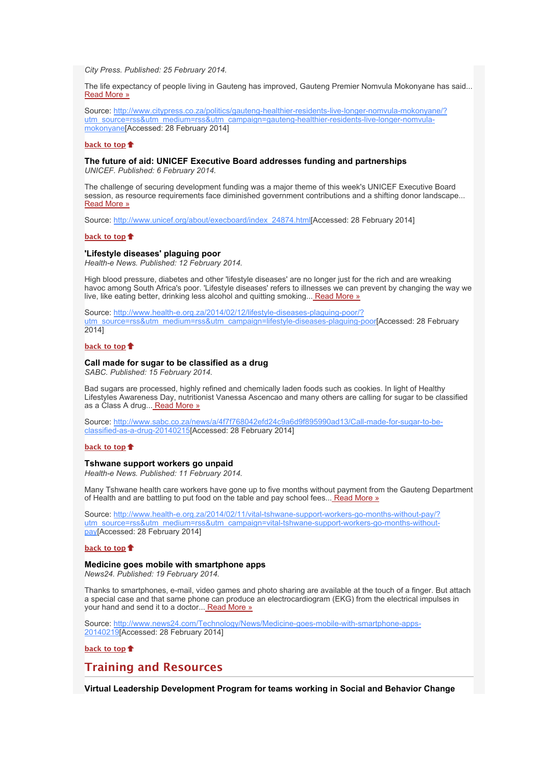*City Press. Published: 25 February 2014.*

The life expectancy of people living in Gauteng has improved, Gauteng Premier Nomvula Mokonyane has said... [Read More »](http://bulletin.hst.org.za//lt.php?id=K09QAFxdUAIGSlNTB0UEAFdT)

[Source: http://www.citypress.co.za/politics/gauteng-healthier-residents-live-longer-nomvula-mokonyane/?](http://bulletin.hst.org.za//lt.php?id=K09QAFxdUAIGSlNTB0UEAFdT) utm\_source=rss&utm\_medium=rss&utm\_campaign=gauteng-healthier-residents-live-longer-nomvulamokonyane[Accessed: 28 February 2014]

### **[back to top](x-msg://100/#top)**

# **The future of aid: UNICEF Executive Board addresses funding and partnerships**

*UNICEF. Published: 6 February 2014.*

The challenge of securing development funding was a major theme of this week's UNICEF Executive Board session, as resource requirements face diminished government contributions and a shifting donor landscape... [Read More »](http://bulletin.hst.org.za//lt.php?id=K09QAFxdUAIFSlNTB0UEAFdT)

Source: [http://www.unicef.org/about/execboard/index\\_24874.html\[](http://bulletin.hst.org.za//lt.php?id=K09QAFxdUAIESlNTB0UEAFdT)Accessed: 28 February 2014]

# **[back to top](x-msg://100/#top)**

# **'Lifestyle diseases' plaguing poor**

*Health-e News. Published: 12 February 2014.*

High blood pressure, diabetes and other 'lifestyle diseases' are no longer just for the rich and are wreaking havoc among South Africa's poor. 'Lifestyle diseases' refers to illnesses we can prevent by changing the way we live, like eating better, drinking less alcohol and quitting smoking..[. Read More »](http://bulletin.hst.org.za//lt.php?id=K09QAFxdUAIDSlNTB0UEAFdT)

Source: http://www.health-e.org.za/2014/02/12/lifestyle-diseases-plaguing-poor/? [utm\\_source=rss&utm\\_medium=rss&utm\\_campaign=lifestyle-diseases-plaguing-poor\[](http://bulletin.hst.org.za//lt.php?id=K09QAFxdUAICSlNTB0UEAFdT)Accessed: 28 February 2014]

# **[back to top](x-msg://100/#top)**

# **Call made for sugar to be classified as a drug**

*SABC. Published: 15 February 2014.*

Bad sugars are processed, highly refined and chemically laden foods such as cookies. In light of Healthy Lifestyles Awareness Day, nutritionist Vanessa Ascencao and many others are calling for sugar to be classified as a Class A drug..[. Read More »](http://bulletin.hst.org.za//lt.php?id=K09QAFxdUAIBSlNTB0UEAFdT)

[Source: http://www.sabc.co.za/news/a/4f7f768042efd24c9a6d9f895990ad13/Call-made-for-sugar-to-be](http://bulletin.hst.org.za//lt.php?id=K09QAFxdUAIASlNTB0UEAFdT)classified-as-a-drug-20140215[Accessed: 28 February 2014]

# **[back to top](x-msg://100/#top)**

# **Tshwane support workers go unpaid**

*Health-e News. Published: 11 February 2014.*

Many Tshwane health care workers have gone up to five months without payment from the Gauteng Department of Health and are battling to put food on the table and pay school fees..[. Read More »](http://bulletin.hst.org.za//lt.php?id=K09QAFxdUAIPSlNTB0UEAFdT)

[Source: http://www.health-e.org.za/2014/02/11/vital-tshwane-support-workers-go-months-without-pay/?](http://bulletin.hst.org.za//lt.php?id=K09QAFxdUAIOSlNTB0UEAFdT) utm\_source=rss&utm\_medium=rss&utm\_campaign=vital-tshwane-support-workers-go-months-withoutpay[Accessed: 28 February 2014]

#### **[back to top](x-msg://100/#top)**

# **Medicine goes mobile with smartphone apps**

*News24. Published: 19 February 2014.*

Thanks to smartphones, e-mail, video games and photo sharing are available at the touch of a finger. But attach a special case and that same phone can produce an electrocardiogram (EKG) from the electrical impulses in your hand and send it to a doctor... [Read More »](http://bulletin.hst.org.za//lt.php?id=K09QAFxdUAMHSlNTB0UEAFdT)

[Source: http://www.news24.com/Technology/News/Medicine-goes-mobile-with-smartphone-apps-](http://bulletin.hst.org.za//lt.php?id=K09QAFxdUAMGSlNTB0UEAFdT)20140219[Accessed: 28 February 2014]

# **[back to top](x-msg://100/#top)**

# **Training and Resources**

**Virtual Leadership Development Program for teams working in Social and Behavior Change**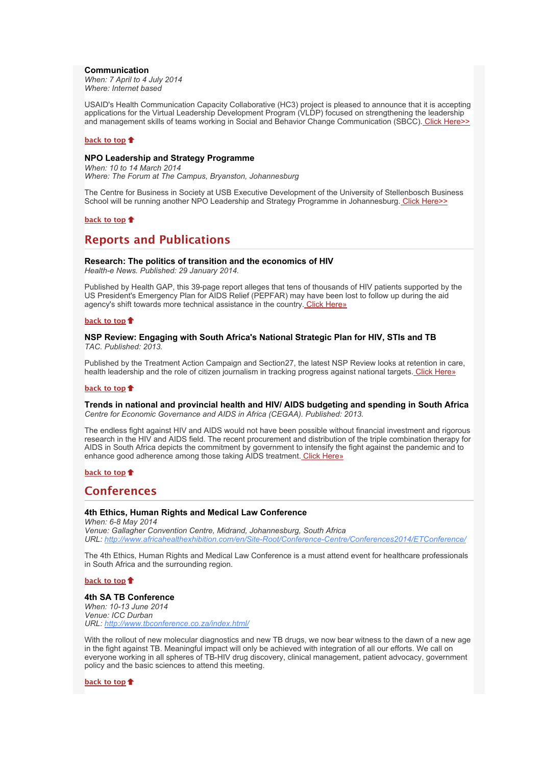# **Communication**

*When: 7 April to 4 July 2014 Where: Internet based*

USAID's Health Communication Capacity Collaborative (HC3) project is pleased to announce that it is accepting applications for the Virtual Leadership Development Program (VLDP) focused on strengthening the leadership and management skills of teams working in Social and Behavior Change Communication (SBCC). [Click Here>>](http://bulletin.hst.org.za//lt.php?id=K09QAFxdUAMFSlNTB0UEAFdT)

#### **[back to top](x-msg://100/#top)**

# **NPO Leadership and Strategy Programme**

*When: 10 to 14 March 2014 Where: The Forum at The Campus, Bryanston, Johannesburg*

The Centre for Business in Society at USB Executive Development of the University of Stellenbosch Business School will be running another NPO Leadership and Strategy Programme in Johannesburg[. Click Here>>](http://bulletin.hst.org.za//lt.php?id=K09QAFxdUAMESlNTB0UEAFdT)

### **[back to top](x-msg://100/#top)**

# **Reports and Publications**

# **Research: The politics of transition and the economics of HIV**

*Health-e News. Published: 29 January 2014.*

Published by Health GAP, this 39-page report alleges that tens of thousands of HIV patients supported by the US President's Emergency Plan for AIDS Relief (PEPFAR) may have been lost to follow up during the aid agency's shift towards more technical assistance in the country[. Click Here»](http://bulletin.hst.org.za//lt.php?id=K09QAFxdUAMDSlNTB0UEAFdT)

#### **[back to top](x-msg://100/#top)**

# **NSP Review: Engaging with South Africa's National Strategic Plan for HIV, STIs and TB** *TAC. Published: 2013.*

Published by the Treatment Action Campaign and Section27, the latest NSP Review looks at retention in care, health leadership and the role of citizen journalism in tracking progress against national targets[. Click Here»](http://bulletin.hst.org.za//lt.php?id=K09QAFxdUAMCSlNTB0UEAFdT)

#### **[back to top](x-msg://100/#top)**

# **Trends in national and provincial health and HIV/ AIDS budgeting and spending in South Africa** *Centre for Economic Governance and AIDS in Africa (CEGAA). Published: 2013.*

The endless fight against HIV and AIDS would not have been possible without financial investment and rigorous research in the HIV and AIDS field. The recent procurement and distribution of the triple combination therapy for AIDS in South Africa depicts the commitment by government to intensify the fight against the pandemic and to enhance good adherence among those taking AIDS treatment[. Click Here»](http://bulletin.hst.org.za//lt.php?id=K09QAFxdUAMBSlNTB0UEAFdT)

# **[back to top](x-msg://100/#top)**

# **Conferences**

# **4th Ethics, Human Rights and Medical Law Conference**

*When: 6-8 May 2014 Venue: Gallagher Convention Centre, Midrand, Johannesburg, South Africa URL: [http://www.africahealthexhibition.com/en/Site-Root/Conference-Centre/Conferences2014/ETConference/](http://bulletin.hst.org.za//lt.php?id=K09QAFxdUAMASlNTB0UEAFdT)*

The 4th Ethics, Human Rights and Medical Law Conference is a must attend event for healthcare professionals in South Africa and the surrounding region.

# **[back to top](x-msg://100/#top)**

# **4th SA TB Conference**

*When: 10-13 June 2014 Venue: ICC Durban URL: [http://www.tbconference.co.za/index.html/](http://bulletin.hst.org.za//lt.php?id=K09QAFxdUAMPSlNTB0UEAFdT)*

With the rollout of new molecular diagnostics and new TB drugs, we now bear witness to the dawn of a new age in the fight against TB. Meaningful impact will only be achieved with integration of all our efforts. We call on everyone working in all spheres of TB-HIV drug discovery, clinical management, patient advocacy, government policy and the basic sciences to attend this meeting.

**[back to top](x-msg://100/#top)**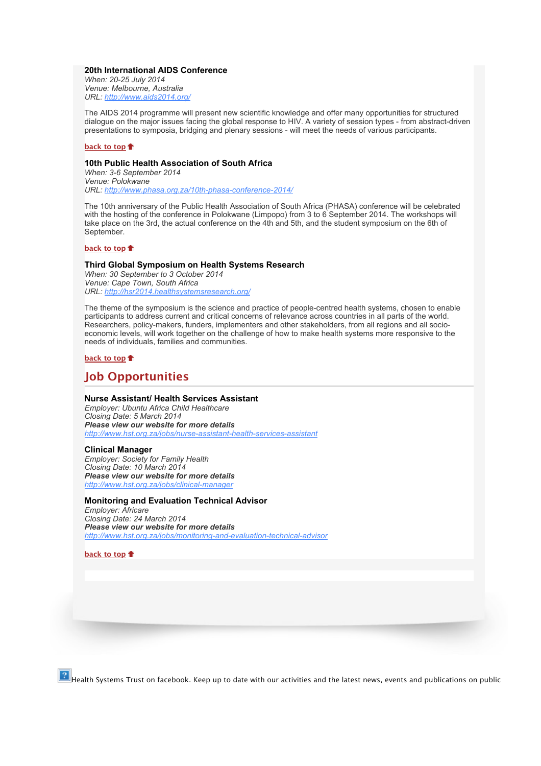# **20th International AIDS Conference**

*When: 20-25 July 2014 Venue: Melbourne, Australia URL: [http://www.aids2014.org/](http://bulletin.hst.org.za//lt.php?id=K09QAFxdUAMOSlNTB0UEAFdT)*

The AIDS 2014 programme will present new scientific knowledge and offer many opportunities for structured dialogue on the major issues facing the global response to HIV. A variety of session types - from abstract-driven presentations to symposia, bridging and plenary sessions - will meet the needs of various participants.

#### **[back to top](x-msg://100/#top)**

# **10th Public Health Association of South Africa**

*When: 3-6 September 2014 Venue: Polokwane URL: [http://www.phasa.org.za/10th-phasa-conference-2014/](http://bulletin.hst.org.za//lt.php?id=K09QAFxdUAAHSlNTB0UEAFdT)*

The 10th anniversary of the Public Health Association of South Africa (PHASA) conference will be celebrated with the hosting of the conference in Polokwane (Limpopo) from 3 to 6 September 2014. The workshops will take place on the 3rd, the actual conference on the 4th and 5th, and the student symposium on the 6th of September.

# **[back to top](x-msg://100/#top)**

# **Third Global Symposium on Health Systems Research**

*When: 30 September to 3 October 2014 Venue: Cape Town, South Africa URL: [http://hsr2014.healthsystemsresearch.org/](http://bulletin.hst.org.za//lt.php?id=K09QAFxdUAAGSlNTB0UEAFdT)*

The theme of the symposium is the science and practice of people-centred health systems, chosen to enable participants to address current and critical concerns of relevance across countries in all parts of the world. Researchers, policy-makers, funders, implementers and other stakeholders, from all regions and all socioeconomic levels, will work together on the challenge of how to make health systems more responsive to the needs of individuals, families and communities.

# **[back to top](x-msg://100/#top)**

# **Job Opportunities**

# **Nurse Assistant/ Health Services Assistant**

*Employer: Ubuntu Africa Child Healthcare Closing Date: 5 March 2014 Please view our website for more details [http://www.hst.org.za/jobs/nurse-assistant-health-services-assistant](http://bulletin.hst.org.za//lt.php?id=K09QAFxdUAAFSlNTB0UEAFdT)*

# **Clinical Manager**

*Employer: Society for Family Health Closing Date: 10 March 2014 Please view our website for more details [http://www.hst.org.za/jobs/clinical-manager](http://bulletin.hst.org.za//lt.php?id=K09QAFxdUAAESlNTB0UEAFdT)*

# **Monitoring and Evaluation Technical Advisor**

*Employer: Africare Closing Date: 24 March 2014 Please view our website for more details [http://www.hst.org.za/jobs/monitoring-and-evaluation-technical-advisor](http://bulletin.hst.org.za//lt.php?id=K09QAFxdUAADSlNTB0UEAFdT)*

# **[back to top](x-msg://100/#top)**

 $\boxed{?}$  Health Systems Trust on facebook. Keep up to date with our activities and the latest news, events and publications on public